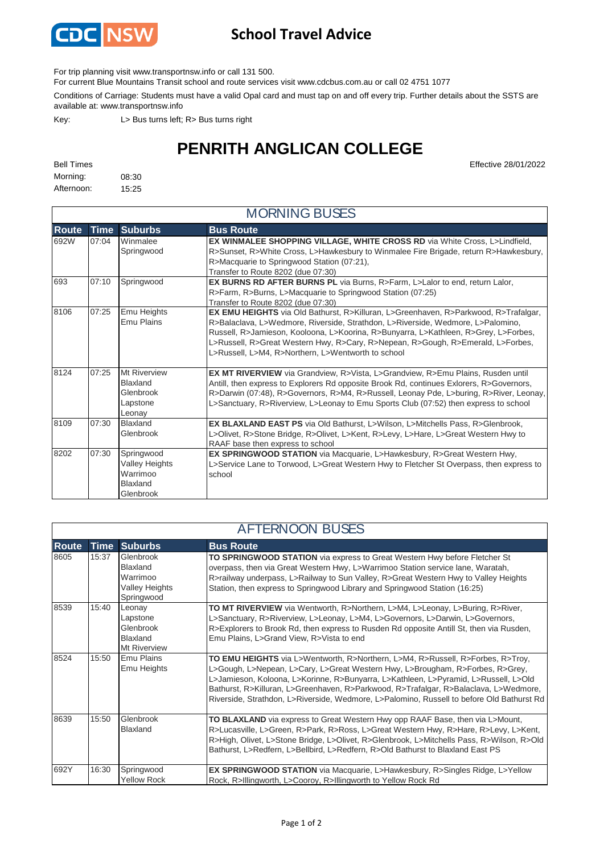

## **School Travel Advice**

For trip planning visit www.transportnsw.info or call 131 500.

For current Blue Mountains Transit school and route services visit www.cdcbus.com.au or call 02 4751 1077

Conditions of Carriage: Students must have a valid Opal card and must tap on and off every trip. Further details about the SSTS are available at: www.transportnsw.info

Key: L> Bus turns left; R> Bus turns right

## **PENRITH ANGLICAN COLLEGE**

Bell Times Effective 28/01/2022

| Morning:   | 08:30 |
|------------|-------|
| Afternoon: | 15:25 |

|              | <b>MORNING BUSES</b> |                                                                          |                                                                                                                                                                                                                                                                                                                                                                                                        |  |
|--------------|----------------------|--------------------------------------------------------------------------|--------------------------------------------------------------------------------------------------------------------------------------------------------------------------------------------------------------------------------------------------------------------------------------------------------------------------------------------------------------------------------------------------------|--|
| <b>Route</b> | <b>Time</b>          | <b>Suburbs</b>                                                           | <b>Bus Route</b>                                                                                                                                                                                                                                                                                                                                                                                       |  |
| 692W         | 07:04                | Winmalee<br>Springwood                                                   | EX WINMALEE SHOPPING VILLAGE, WHITE CROSS RD via White Cross, L>Lindfield,<br>R>Sunset, R>White Cross, L>Hawkesbury to Winmalee Fire Brigade, return R>Hawkesbury,<br>R>Macquarie to Springwood Station (07:21),<br>Transfer to Route 8202 (due 07:30)                                                                                                                                                 |  |
| 693          | 07:10                | Springwood                                                               | <b>EX BURNS RD AFTER BURNS PL</b> via Burns, R>Farm, L>Lalor to end, return Lalor,<br>R>Farm, R>Burns, L>Macquarie to Springwood Station (07:25)<br>Transfer to Route 8202 (due 07:30)                                                                                                                                                                                                                 |  |
| 8106         | 07:25                | Emu Heights<br>Emu Plains                                                | EX EMU HEIGHTS via Old Bathurst, R>Killuran, L>Greenhaven, R>Parkwood, R>Trafalgar,<br>R>Balaclava, L>Wedmore, Riverside, Strathdon, L>Riverside, Wedmore, L>Palomino,<br>Russell, R>Jamieson, Kooloona, L>Koorina, R>Bunyarra, L>Kathleen, R>Grey, L>Forbes,<br>L>Russell, R>Great Western Hwy, R>Cary, R>Nepean, R>Gough, R>Emerald, L>Forbes,<br>L>Russell, L>M4, R>Northern, L>Wentworth to school |  |
| 8124         | 07:25                | Mt Riverview<br><b>Blaxland</b><br>Glenbrook<br>Lapstone<br>Leonay       | EX MT RIVERVIEW via Grandview, R>Vista, L>Grandview, R>Emu Plains, Rusden until<br>Antill, then express to Explorers Rd opposite Brook Rd, continues Exlorers, R>Governors,<br>R>Darwin (07:48), R>Governors, R>M4, R>Russell, Leonay Pde, L>buring, R>River, Leonay,<br>L>Sanctuary, R>Riverview, L>Leonay to Emu Sports Club (07:52) then express to school                                          |  |
| 8109         | 07:30                | <b>Blaxland</b><br>Glenbrook                                             | EX BLAXLAND EAST PS via Old Bathurst, L>Wilson, L>Mitchells Pass, R>Glenbrook,<br>L>Olivet, R>Stone Bridge, R>Olivet, L>Kent, R>Levy, L>Hare, L>Great Western Hwy to<br>RAAF base then express to school                                                                                                                                                                                               |  |
| 8202         | 07:30                | Springwood<br><b>Valley Heights</b><br>Warrimoo<br>Blaxland<br>Glenbrook | EX SPRINGWOOD STATION via Macquarie, L>Hawkesbury, R>Great Western Hwy,<br>L>Service Lane to Torwood, L>Great Western Hwy to Fletcher St Overpass, then express to<br>school                                                                                                                                                                                                                           |  |

|              | <b>AFTERNOON BUSES</b> |                                                                           |                                                                                                                                                                                                                                                                                                                                                                                                                                             |  |  |
|--------------|------------------------|---------------------------------------------------------------------------|---------------------------------------------------------------------------------------------------------------------------------------------------------------------------------------------------------------------------------------------------------------------------------------------------------------------------------------------------------------------------------------------------------------------------------------------|--|--|
| <b>Route</b> | <b>Time</b>            | <b>Suburbs</b>                                                            | <b>Bus Route</b>                                                                                                                                                                                                                                                                                                                                                                                                                            |  |  |
| 8605         | 15:37                  | Glenbrook<br>Blaxland<br>Warrimoo<br>Valley Heights<br>Springwood         | TO SPRINGWOOD STATION via express to Great Western Hwy before Fletcher St<br>overpass, then via Great Western Hwy, L>Warrimoo Station service lane, Waratah,<br>R>railway underpass, L>Railway to Sun Valley, R>Great Western Hwy to Valley Heights<br>Station, then express to Springwood Library and Springwood Station (16:25)                                                                                                           |  |  |
| 8539         | 15:40                  | Leonay<br>Lapstone<br>Glenbrook<br><b>Blaxland</b><br><b>Mt Riverview</b> | TO MT RIVERVIEW via Wentworth, R>Northern, L>M4, L>Leonay, L>Buring, R>River,<br>L>Sanctuary, R>Riverview, L>Leonay, L>M4, L>Governors, L>Darwin, L>Governors,<br>R>Explorers to Brook Rd, then express to Rusden Rd opposite Antill St, then via Rusden,<br>Emu Plains, L>Grand View, R>Vista to end                                                                                                                                       |  |  |
| 8524         | 15:50                  | Emu Plains<br>Emu Heights                                                 | TO EMU HEIGHTS via L>Wentworth, R>Northern, L>M4, R>Russell, R>Forbes, R>Troy,<br>L>Gough, L>Nepean, L>Cary, L>Great Western Hwy, L>Brougham, R>Forbes, R>Grey,<br>L>Jamieson, Koloona, L>Korinne, R>Bunyarra, L>Kathleen, L>Pyramid, L>Russell, L>Old<br>Bathurst, R>Killuran, L>Greenhaven, R>Parkwood, R>Trafalgar, R>Balaclava, L>Wedmore,<br>Riverside, Strathdon, L>Riverside, Wedmore, L>Palomino, Russell to before Old Bathurst Rd |  |  |
| 8639         | 15:50                  | Glenbrook<br>Blaxland                                                     | TO BLAXLAND via express to Great Western Hwy opp RAAF Base, then via L>Mount,<br>R>Lucasville, L>Green, R>Park, R>Ross, L>Great Western Hwy, R>Hare, R>Levy, L>Kent,<br>R>High, Olivet, L>Stone Bridge, L>Olivet, R>Glenbrook, L>Mitchells Pass, R>Wilson, R>Old<br>Bathurst, L>Redfern, L>Bellbird, L>Redfern, R>Old Bathurst to Blaxland East PS                                                                                          |  |  |
| 692Y         | 16:30                  | Springwood<br><b>Yellow Rock</b>                                          | <b>EX SPRINGWOOD STATION</b> via Macquarie, L>Hawkesbury, R>Singles Ridge, L>Yellow<br>Rock, R>Illingworth, L>Cooroy, R>Illingworth to Yellow Rock Rd                                                                                                                                                                                                                                                                                       |  |  |